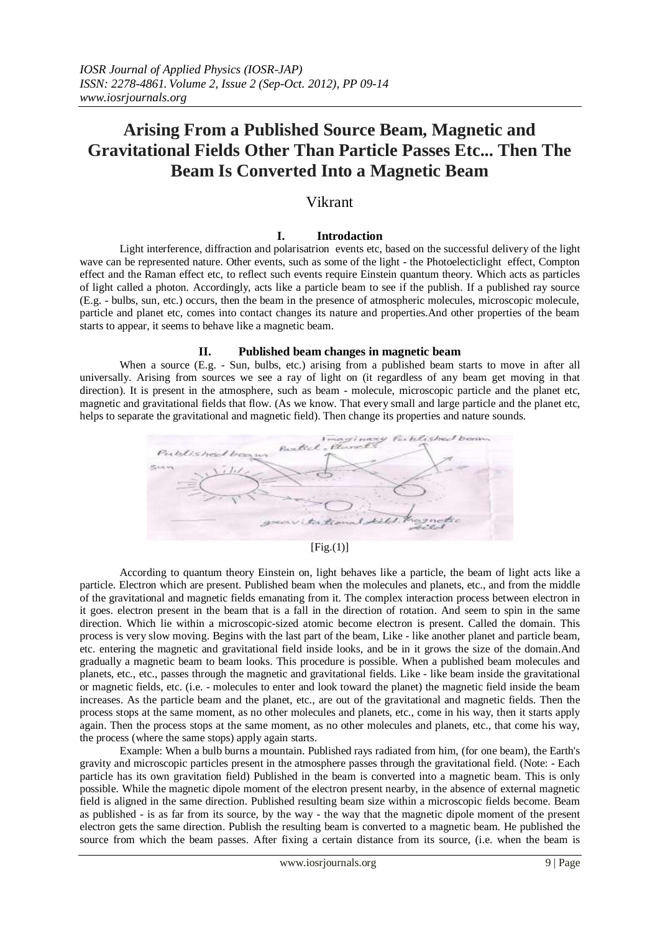# **Arising From a Published Source Beam, Magnetic and Gravitational Fields Other Than Particle Passes Etc... Then The Beam Is Converted Into a Magnetic Beam**

# Vikrant

# **I. Introdaction**

Light interference, diffraction and polarisatrion events etc, based on the successful delivery of the light wave can be represented nature. Other events, such as some of the light - the Photoelecticlight effect, Compton effect and the Raman effect etc, to reflect such events require Einstein quantum theory. Which acts as particles of light called a photon. Accordingly, acts like a particle beam to see if the publish. If a published ray source (E.g. - bulbs, sun, etc.) occurs, then the beam in the presence of atmospheric molecules, microscopic molecule, particle and planet etc, comes into contact changes its nature and properties.And other properties of the beam starts to appear, it seems to behave like a magnetic beam.

# **II. Published beam changes in magnetic beam**

When a source (E.g. - Sun, bulbs, etc.) arising from a published beam starts to move in after all universally. Arising from sources we see a ray of light on (it regardless of any beam get moving in that direction). It is present in the atmosphere, such as beam - molecule, microscopic particle and the planet etc, magnetic and gravitational fields that flow. (As we know. That every small and large particle and the planet etc, helps to separate the gravitational and magnetic field). Then change its properties and nature sounds.



# $[Fig.(1)]$

According to quantum theory Einstein on, light behaves like a particle, the beam of light acts like a particle. Electron which are present. Published beam when the molecules and planets, etc., and from the middle of the gravitational and magnetic fields emanating from it. The complex interaction process between electron in it goes. electron present in the beam that is a fall in the direction of rotation. And seem to spin in the same direction. Which lie within a microscopic-sized atomic become electron is present. Called the domain. This process is very slow moving. Begins with the last part of the beam, Like - like another planet and particle beam, etc. entering the magnetic and gravitational field inside looks, and be in it grows the size of the domain.And gradually a magnetic beam to beam looks. This procedure is possible. When a published beam molecules and planets, etc., etc., passes through the magnetic and gravitational fields. Like - like beam inside the gravitational or magnetic fields, etc. (i.e. - molecules to enter and look toward the planet) the magnetic field inside the beam increases. As the particle beam and the planet, etc., are out of the gravitational and magnetic fields. Then the process stops at the same moment, as no other molecules and planets, etc., come in his way, then it starts apply again. Then the process stops at the same moment, as no other molecules and planets, etc., that come his way, the process (where the same stops) apply again starts.

Example: When a bulb burns a mountain. Published rays radiated from him, (for one beam), the Earth's gravity and microscopic particles present in the atmosphere passes through the gravitational field. (Note: - Each particle has its own gravitation field) Published in the beam is converted into a magnetic beam. This is only possible. While the magnetic dipole moment of the electron present nearby, in the absence of external magnetic field is aligned in the same direction. Published resulting beam size within a microscopic fields become. Beam as published - is as far from its source, by the way - the way that the magnetic dipole moment of the present electron gets the same direction. Publish the resulting beam is converted to a magnetic beam. He published the source from which the beam passes. After fixing a certain distance from its source, (i.e. when the beam is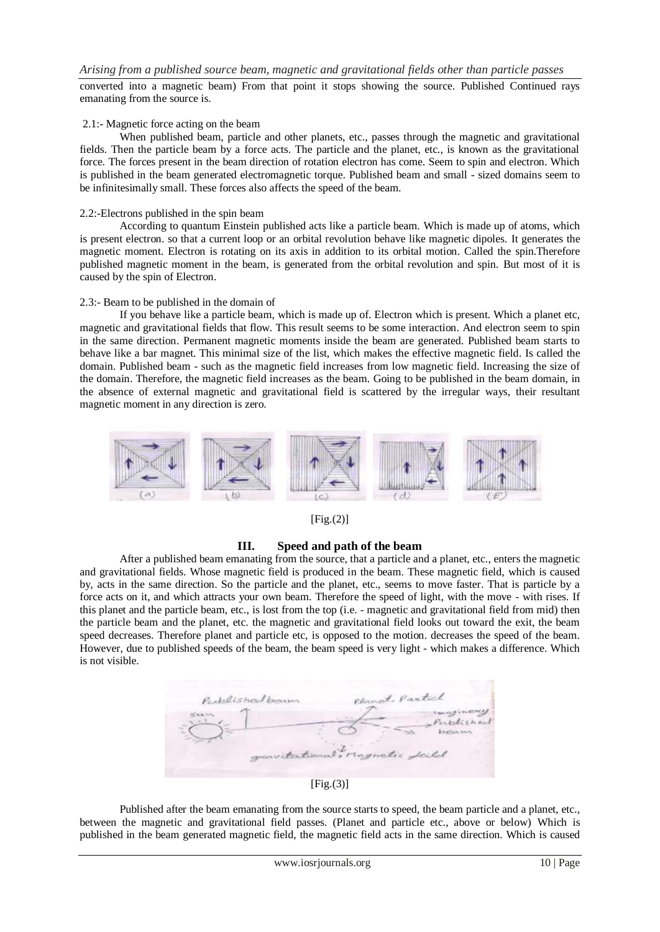converted into a magnetic beam) From that point it stops showing the source. Published Continued rays emanating from the source is.

#### 2.1:- Magnetic force acting on the beam

When published beam, particle and other planets, etc., passes through the magnetic and gravitational fields. Then the particle beam by a force acts. The particle and the planet, etc., is known as the gravitational force. The forces present in the beam direction of rotation electron has come. Seem to spin and electron. Which is published in the beam generated electromagnetic torque. Published beam and small - sized domains seem to be infinitesimally small. These forces also affects the speed of the beam.

#### 2.2:-Electrons published in the spin beam

According to quantum Einstein published acts like a particle beam. Which is made up of atoms, which is present electron. so that a current loop or an orbital revolution behave like magnetic dipoles. It generates the magnetic moment. Electron is rotating on its axis in addition to its orbital motion. Called the spin.Therefore published magnetic moment in the beam, is generated from the orbital revolution and spin. But most of it is caused by the spin of Electron.

#### 2.3:- Beam to be published in the domain of

If you behave like a particle beam, which is made up of. Electron which is present. Which a planet etc, magnetic and gravitational fields that flow. This result seems to be some interaction. And electron seem to spin in the same direction. Permanent magnetic moments inside the beam are generated. Published beam starts to behave like a bar magnet. This minimal size of the list, which makes the effective magnetic field. Is called the domain. Published beam - such as the magnetic field increases from low magnetic field. Increasing the size of the domain. Therefore, the magnetic field increases as the beam. Going to be published in the beam domain, in the absence of external magnetic and gravitational field is scattered by the irregular ways, their resultant magnetic moment in any direction is zero.



 $[Fig.(2)]$ 

# **III. Speed and path of the beam**

After a published beam emanating from the source, that a particle and a planet, etc., enters the magnetic and gravitational fields. Whose magnetic field is produced in the beam. These magnetic field, which is caused by, acts in the same direction. So the particle and the planet, etc., seems to move faster. That is particle by a force acts on it, and which attracts your own beam. Therefore the speed of light, with the move - with rises. If this planet and the particle beam, etc., is lost from the top (i.e. - magnetic and gravitational field from mid) then the particle beam and the planet, etc. the magnetic and gravitational field looks out toward the exit, the beam speed decreases. Therefore planet and particle etc, is opposed to the motion. decreases the speed of the beam. However, due to published speeds of the beam, the beam speed is very light - which makes a difference. Which is not visible.



 $[Fig.(3)]$ 

Published after the beam emanating from the source starts to speed, the beam particle and a planet, etc., between the magnetic and gravitational field passes. (Planet and particle etc., above or below) Which is published in the beam generated magnetic field, the magnetic field acts in the same direction. Which is caused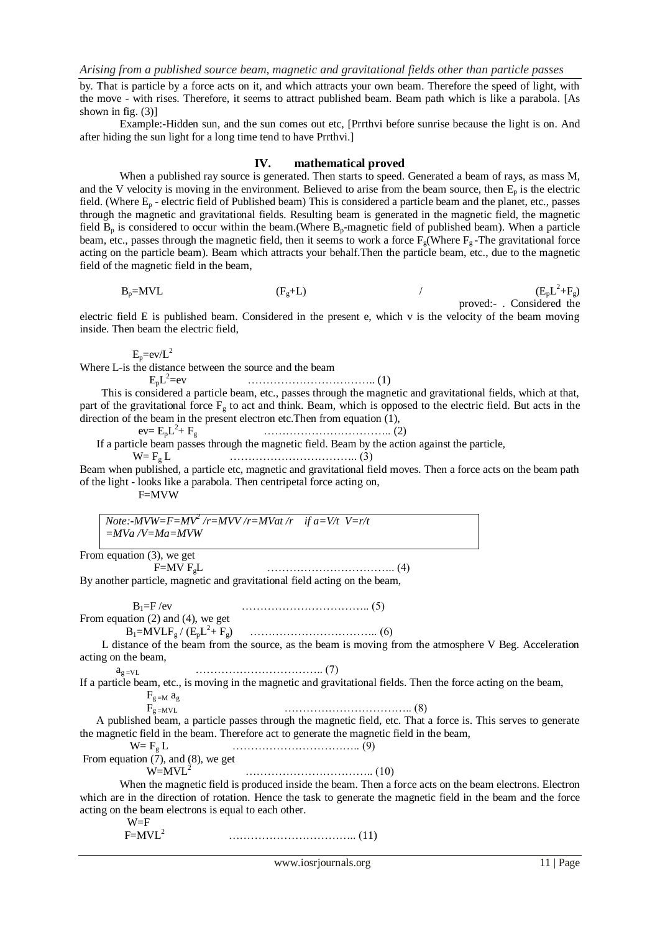by. That is particle by a force acts on it, and which attracts your own beam. Therefore the speed of light, with the move - with rises. Therefore, it seems to attract published beam. Beam path which is like a parabola. [As shown in fig.  $(3)$ ]

Example:-Hidden sun, and the sun comes out etc, [Prrthvi before sunrise because the light is on. And after hiding the sun light for a long time tend to have Prrthvi.]

#### **IV. mathematical proved**

When a published ray source is generated. Then starts to speed. Generated a beam of rays, as mass M, and the V velocity is moving in the environment. Believed to arise from the beam source, then  $E_p$  is the electric field. (Where  $E_p$  - electric field of Published beam) This is considered a particle beam and the planet, etc., passes through the magnetic and gravitational fields. Resulting beam is generated in the magnetic field, the magnetic field  $B_p$  is considered to occur within the beam.(Where  $B_p$ -magnetic field of published beam). When a particle beam, etc., passes through the magnetic field, then it seems to work a force  $F_g$ (Where  $F_g$ -The gravitational force acting on the particle beam). Beam which attracts your behalf.Then the particle beam, etc., due to the magnetic field of the magnetic field in the beam,

$$
B_p= MVL
$$
 (F<sub>g</sub>+L) (F<sub>g</sub>+L) (F<sub>g</sub>)+ (F<sub>g</sub>)- MVL (F<sub>p</sub>L<sup>2</sup>+F<sub>g</sub>)  
proved:- Considered the

electric field E is published beam. Considered in the present e, which v is the velocity of the beam moving inside. Then beam the electric field,

 $E_p=ev/L^2$ 

Where L-is the distance between the source and the beam

 $E_pL^2$ =ev …………………………….. (1)

 This is considered a particle beam, etc., passes through the magnetic and gravitational fields, which at that, part of the gravitational force  $F<sub>g</sub>$  to act and think. Beam, which is opposed to the electric field. But acts in the direction of the beam in the present electron etc.Then from equation (1),

 $ev = E_p L^2$ + Fg …………………………….. (2)

If a particle beam passes through the magnetic field. Beam by the action against the particle,

W= F<sup>g</sup> L …………………………….. (3)

Beam when published, a particle etc, magnetic and gravitational field moves. Then a force acts on the beam path of the light - looks like a parabola. Then centripetal force acting on,

F=MVW

*Note:-MVW=F=MV<sup>2</sup> /r=MVV /r=MVat /r if a=V/t V=r/t =MVa /V=Ma=MVW*

From equation (3), we get

```
 F=MV FgL …………………………….. (4)
```
By another particle, magnetic and gravitational field acting on the beam,

 B1=F /ev …………………………….. (5) From equation (2) and (4), we get

B1=MVLF<sup>g</sup> / (EpL 2 + Fg) …………………………….. (6)

 L distance of the beam from the source, as the beam is moving from the atmosphere V Beg. Acceleration acting on the beam,

a<sup>g</sup> =VL …………………………….. (7)

If a particle beam, etc., is moving in the magnetic and gravitational fields. Then the force acting on the beam,  $F_{g=M}$   $a_g$ 

 $F_{g=MVL}$  (8)

 A published beam, a particle passes through the magnetic field, etc. That a force is. This serves to generate the magnetic field in the beam. Therefore act to generate the magnetic field in the beam,

From equation (7), and (8), we get\n
$$
W = F_g L
$$
\n(9)

W=MVL<sup>2</sup>…………………………….. (10)

When the magnetic field is produced inside the beam. Then a force acts on the beam electrons. Electron which are in the direction of rotation. Hence the task to generate the magnetic field in the beam and the force acting on the beam electrons is equal to each other.

 W=F  $F=MVL<sup>2</sup>$ …………………………….. (11)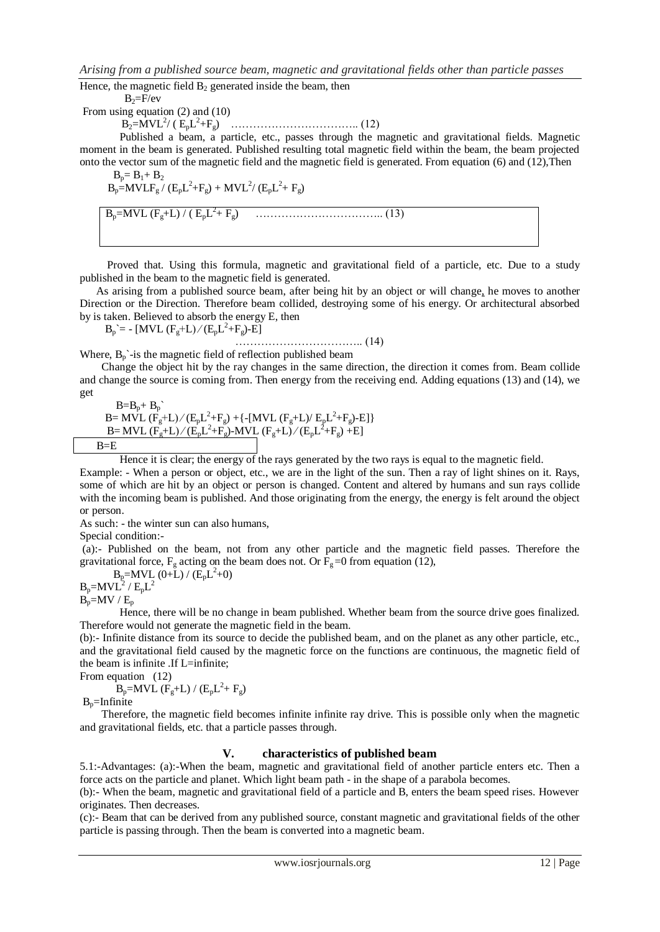Hence, the magnetic field  $B_2$  generated inside the beam, then

 $B_2 = F/ev$ 

From using equation (2) and (10)

B2=MVL<sup>2</sup> / ( EpL 2 +Fg) …………………………….. (12)

Published a beam, a particle, etc., passes through the magnetic and gravitational fields. Magnetic moment in the beam is generated. Published resulting total magnetic field within the beam, the beam projected onto the vector sum of the magnetic field and the magnetic field is generated. From equation (6) and (12),Then

$$
\begin{array}{l} B_p = B_1 + B_2 \\ B_p = MVLF_g / (E_pL^2 + F_g) + MVL^2 / (E_pL^2 + F_g) \end{array}
$$

 $B_p$ =MVL (F<sub>g</sub>+L) / (  $E_pL^2$ + Fg) …………………………….. (13)

 Proved that. Using this formula, magnetic and gravitational field of a particle, etc. Due to a study published in the beam to the magnetic field is generated.

 As arising from a published source beam, after being hit by an object or will change*,* he moves to another Direction or the Direction. Therefore beam collided, destroying some of his energy. Or architectural absorbed by is taken. Believed to absorb the energy E, then

 $B_p = - [MVL (F_g + L)/(E_p L^2 + F_g) - E]$ 

…………………………….. (14)

Where,  $B_n$ <sup>-</sup>is the magnetic field of reflection published beam

 Change the object hit by the ray changes in the same direction, the direction it comes from. Beam collide and change the source is coming from. Then energy from the receiving end. Adding equations (13) and (14), we get

 $B=B_p+B_p$ B= MVL  $(F_g+L)/(E_pL^2+F_g)$  + {-[MVL  $(F_g+L)/E_pL^2+F_g$ )-E] } B= MVL  $(\overline{F_g}+L)/(\overline{E_p}L^2+F_g)$ -MVL  $(F_g+L)/(\overline{E_p}L^2+F_g)+E$ ]  $B=E$ 

Hence it is clear; the energy of the rays generated by the two rays is equal to the magnetic field.

Example: - When a person or object, etc., we are in the light of the sun. Then a ray of light shines on it. Rays, some of which are hit by an object or person is changed. Content and altered by humans and sun rays collide with the incoming beam is published. And those originating from the energy, the energy is felt around the object or person.

As such: - the winter sun can also humans,

Special condition:-

(a):- Published on the beam, not from any other particle and the magnetic field passes. Therefore the gravitational force,  $F_g$  acting on the beam does not. Or  $F_g$ =0 from equation (12),

 $B_p = MVL(0+L) / (E_pL^2+0)$ 

 $B_p=MVL^2$  /  $E_pL^2$  $\vec{B_p}$ =MV /  $E_p$ 

Hence, there will be no change in beam published. Whether beam from the source drive goes finalized. Therefore would not generate the magnetic field in the beam.

(b):- Infinite distance from its source to decide the published beam, and on the planet as any other particle, etc., and the gravitational field caused by the magnetic force on the functions are continuous, the magnetic field of the beam is infinite .If L=infinite;

From equation (12)

 $\mathbf{B}_{\rm p}$ =MVL (F<sub>g</sub>+L) / (E<sub>p</sub>L<sup>2</sup>+ F<sub>g</sub>)

 $B<sub>p</sub>=Infinite$ 

 Therefore, the magnetic field becomes infinite infinite ray drive. This is possible only when the magnetic and gravitational fields, etc. that a particle passes through.

# **V. characteristics of published beam**

5.1:-Advantages: (a):-When the beam, magnetic and gravitational field of another particle enters etc. Then a force acts on the particle and planet. Which light beam path - in the shape of a parabola becomes.

(b):- When the beam, magnetic and gravitational field of a particle and B, enters the beam speed rises. However originates. Then decreases.

(c):- Beam that can be derived from any published source, constant magnetic and gravitational fields of the other particle is passing through. Then the beam is converted into a magnetic beam.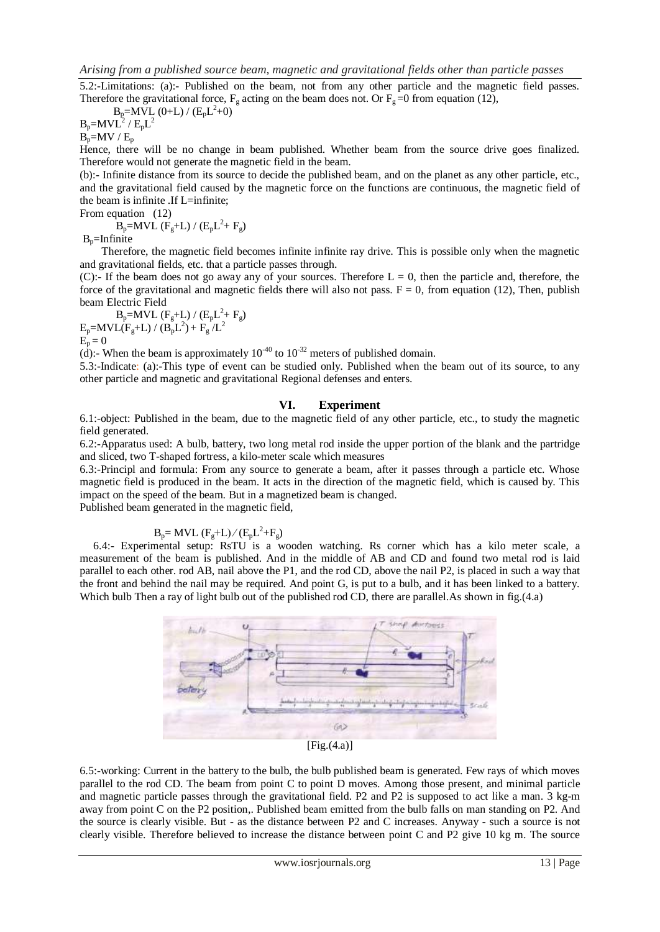5.2:-Limitations: (a):- Published on the beam, not from any other particle and the magnetic field passes. Therefore the gravitational force,  $F_g$  acting on the beam does not. Or  $F_g = 0$  from equation (12),

$$
B_p=M\bar{V}L\ (0+L)\ /\ (E_pL^2+0)
$$
  

$$
B_p=MVL^2\ /\ E_pL^2
$$

 $B_p=MV / E_p$ 

Hence, there will be no change in beam published. Whether beam from the source drive goes finalized. Therefore would not generate the magnetic field in the beam.

(b):- Infinite distance from its source to decide the published beam, and on the planet as any other particle, etc., and the gravitational field caused by the magnetic force on the functions are continuous, the magnetic field of the beam is infinite .If L=infinite;

From equation (12)

 $B_p=MVL$  ( $F_g+L$ ) / ( $E_pL^2+F_g$ )

 $B_n$ =Infinite

 Therefore, the magnetic field becomes infinite infinite ray drive. This is possible only when the magnetic and gravitational fields, etc. that a particle passes through.

(C):- If the beam does not go away any of your sources. Therefore  $L = 0$ , then the particle and, therefore, the force of the gravitational and magnetic fields there will also not pass.  $F = 0$ , from equation (12), Then, publish beam Electric Field

 $B_p=MVL$   $(F_g+L) / (E_pL^2 + F_g)$  $E_p = MVL(F_g + L) / (B_p L^2) + F_g/L^2$  $E_p = 0$ 

(d):- When the beam is approximately 10<sup>-40</sup> to 10<sup>-32</sup> meters of published domain.

5.3:-Indicate: (a):-This type of event can be studied only. Published when the beam out of its source, to any other particle and magnetic and gravitational Regional defenses and enters.

#### **VI. Experiment**

6.1:-object: Published in the beam, due to the magnetic field of any other particle, etc., to study the magnetic field generated.

6.2:-Apparatus used: A bulb, battery, two long metal rod inside the upper portion of the blank and the partridge and sliced, two T-shaped fortress, a kilo-meter scale which measures

6.3:-Principl and formula: From any source to generate a beam, after it passes through a particle etc. Whose magnetic field is produced in the beam. It acts in the direction of the magnetic field, which is caused by. This impact on the speed of the beam. But in a magnetized beam is changed.

Published beam generated in the magnetic field,

# $B_p = MVL \ (F_g + L)/(E_p L^2 + F_g)$

 6.4:- Experimental setup: RsTU is a wooden watching. Rs corner which has a kilo meter scale, a measurement of the beam is published. And in the middle of AB and CD and found two metal rod is laid parallel to each other. rod AB, nail above the P1, and the rod CD, above the nail P2, is placed in such a way that the front and behind the nail may be required. And point G, is put to a bulb, and it has been linked to a battery. Which bulb Then a ray of light bulb out of the published rod CD, there are parallel. As shown in fig.(4.a)



[Fig.(4.a)]

6.5:-working: Current in the battery to the bulb, the bulb published beam is generated. Few rays of which moves parallel to the rod CD. The beam from point C to point D moves. Among those present, and minimal particle and magnetic particle passes through the gravitational field. P2 and P2 is supposed to act like a man. 3 kg-m away from point C on the P2 position,. Published beam emitted from the bulb falls on man standing on P2. And the source is clearly visible. But - as the distance between P2 and C increases. Anyway - such a source is not clearly visible. Therefore believed to increase the distance between point C and P2 give 10 kg m. The source